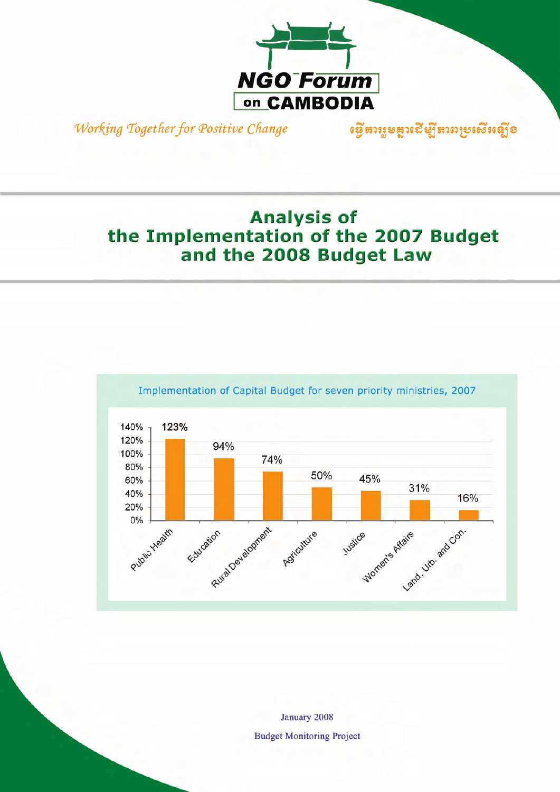

Working Together for Positive Change เชิง หารูยสูงเฮิยูโรงตายเชิงญี่อ

# **Analysis of** the Implementation of the 2007 Budget and the 2008 Budget Law



January 2008 **Budget Monitoring Project**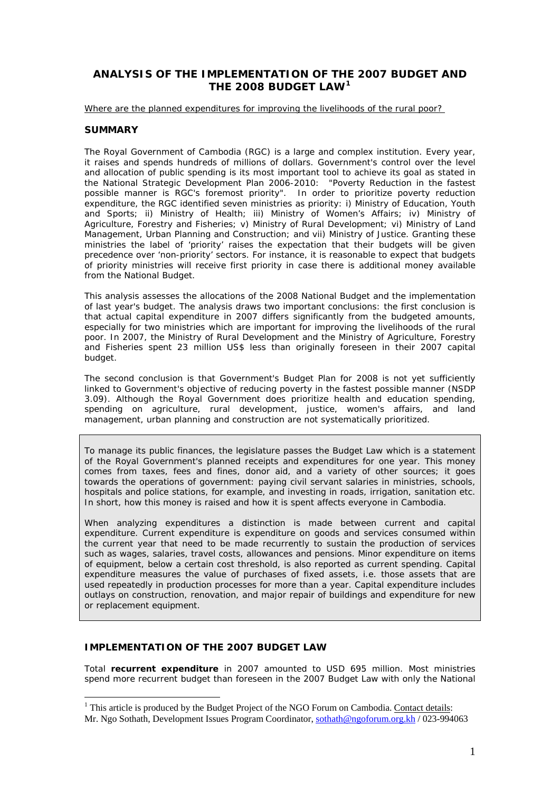## **ANALYSIS OF THE IMPLEMENTATION OF THE 2007 BUDGET AND THE 2008 BUDGET LAW[1](#page-1-0)**

*Where are the planned expenditures for improving the livelihoods of the rural poor?* 

### **SUMMARY**

The Royal Government of Cambodia (RGC) is a large and complex institution. Every year, it raises and spends hundreds of millions of dollars. Government's control over the level and allocation of public spending is its most important tool to achieve its goal as stated in the National Strategic Development Plan 2006-2010: "Poverty Reduction in the fastest possible manner is RGC's foremost priority". In order to prioritize poverty reduction expenditure, the RGC identified seven ministries as priority: i) Ministry of Education, Youth and Sports; ii) Ministry of Health; iii) Ministry of Women's Affairs; iv) Ministry of Agriculture, Forestry and Fisheries; v) Ministry of Rural Development; vi) Ministry of Land Management, Urban Planning and Construction; and vii) Ministry of Justice. Granting these ministries the label of 'priority' raises the expectation that their budgets will be given precedence over 'non-priority' sectors. For instance, it is reasonable to expect that budgets of priority ministries will receive first priority in case there is additional money available from the National Budget.

This analysis assesses the allocations of the 2008 National Budget and the implementation of last year's budget. The analysis draws two important conclusions: the first conclusion is that actual capital expenditure in 2007 differs significantly from the budgeted amounts, especially for two ministries which are important for improving the livelihoods of the rural poor. In 2007, the Ministry of Rural Development and the Ministry of Agriculture, Forestry and Fisheries spent 23 million US\$ less than originally foreseen in their 2007 capital budget.

The second conclusion is that Government's Budget Plan for 2008 is not yet sufficiently linked to Government's objective of reducing poverty in the fastest possible manner (NSDP 3.09). Although the Royal Government does prioritize health and education spending, spending on agriculture, rural development, justice, women's affairs, and land management, urban planning and construction are not systematically prioritized.

*To manage its public finances, the legislature passes the Budget Law which is a statement of the Royal Government's planned receipts and expenditures for one year. This money comes from taxes, fees and fines, donor aid, and a variety of other sources; it goes towards the operations of government: paying civil servant salaries in ministries, schools, hospitals and police stations, for example, and investing in roads, irrigation, sanitation etc. In short, how this money is raised and how it is spent affects everyone in Cambodia.* 

When analyzing expenditures a distinction is made between current and capital *expenditure. Current expenditure is expenditure on goods and services consumed within the current year that need to be made recurrently to sustain the production of services such as wages, salaries, travel costs, allowances and pensions. Minor expenditure on items of equipment, below a certain cost threshold, is also reported as current spending. Capital expenditure measures the value of purchases of fixed assets, i.e. those assets that are used repeatedly in production processes for more than a year. Capital expenditure includes outlays on construction, renovation, and major repair of buildings and expenditure for new or replacement equipment.* 

#### **IMPLEMENTATION OF THE 2007 BUDGET LAW**

 $\overline{a}$ 

Total *recurrent expenditure* in 2007 amounted to USD 695 million. Most ministries spend more recurrent budget than foreseen in the 2007 Budget Law with only the National

<span id="page-1-0"></span><sup>&</sup>lt;sup>1</sup> This article is produced by the Budget Project of the NGO Forum on Cambodia. Contact details: Mr. Ngo Sothath, Development Issues Program Coordinator, [sothath@ngoforum.org.kh](mailto:sothath@ngoforum.org.kh) / 023-994063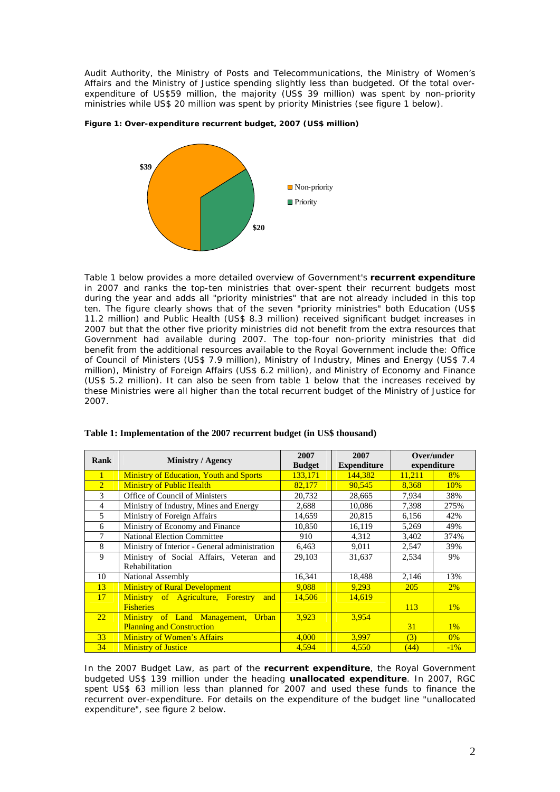Audit Authority, the Ministry of Posts and Telecommunications, the Ministry of Women's Affairs and the Ministry of Justice spending slightly less than budgeted. Of the total overexpenditure of US\$59 million, the majority (US\$ 39 million) was spent by non-priority ministries while US\$ 20 million was spent by priority Ministries (see figure 1 below).





Table 1 below provides a more detailed overview of Government's *recurrent expenditure* in 2007 and ranks the top-ten ministries that over-spent their recurrent budgets most during the year and adds all "priority ministries" that are not already included in this top ten. The figure clearly shows that of the seven "priority ministries" both Education (US\$ 11.2 million) and Public Health (US\$ 8.3 million) received significant budget increases in 2007 but that the other five priority ministries did not benefit from the extra resources that Government had available during 2007. The top-four non-priority ministries that did benefit from the additional resources available to the Royal Government include the: Office of Council of Ministers (US\$ 7.9 million), Ministry of Industry, Mines and Energy (US\$ 7.4 million), Ministry of Foreign Affairs (US\$ 6.2 million), and Ministry of Economy and Finance (US\$ 5.2 million). It can also be seen from table 1 below that the increases received by these Ministries were all higher than the total recurrent budget of the Ministry of Justice for 2007.

|                |                                                | 2007<br>2007<br><b>Expenditure</b><br><b>Budget</b> |         | Over/under<br>expenditure |        |  |
|----------------|------------------------------------------------|-----------------------------------------------------|---------|---------------------------|--------|--|
| <b>Rank</b>    | <b>Ministry / Agency</b>                       |                                                     |         |                           |        |  |
| 1              | <b>Ministry of Education, Youth and Sports</b> | 133.171                                             | 144.382 | 11.211                    | 8%     |  |
| $\overline{2}$ | <b>Ministry of Public Health</b>               | 82,177                                              | 90,545  | 8,368                     | 10%    |  |
| 3              | Office of Council of Ministers                 | 20,732                                              | 28,665  | 7,934                     | 38%    |  |
| 4              | Ministry of Industry, Mines and Energy         | 2,688                                               | 10,086  | 7,398                     | 275%   |  |
| 5              | Ministry of Foreign Affairs                    | 14,659                                              | 20,815  | 6,156                     | 42%    |  |
| 6              | Ministry of Economy and Finance                | 10,850                                              | 16,119  | 5,269                     | 49%    |  |
| 7              | <b>National Election Committee</b>             | 910                                                 | 4,312   | 3,402                     | 374%   |  |
| 8              | Ministry of Interior - General administration  | 6,463                                               | 9,011   | 2,547                     | 39%    |  |
| 9              | Ministry of Social Affairs, Veteran and        | 29,103                                              | 31,637  | 2,534                     | 9%     |  |
|                | <b>Rehabilitation</b>                          |                                                     |         |                           |        |  |
| 10             | National Assembly                              | 16,341                                              | 18,488  | 2,146                     | 13%    |  |
| 13             | <b>Ministry of Rural Development</b>           | 9.088                                               | 9,293   | <b>205</b>                | 2%     |  |
| 17             | Ministry of Agriculture, Forestry<br>and       | 14,506                                              | 14.619  |                           |        |  |
|                | <b>Fisheries</b>                               |                                                     |         | 113                       | $1\%$  |  |
| 22             | Ministry of Land Management, Urban             | 3.923                                               | 3.954   |                           |        |  |
|                | <b>Planning and Construction</b>               |                                                     |         | 31                        | $1\%$  |  |
| 33             | <b>Ministry of Women's Affairs</b>             | 4,000                                               | 3,997   | (3)                       | $0\%$  |  |
| 34             | <b>Ministry of Justice</b>                     | 4,594                                               | 4,550   | (44)                      | $-1\%$ |  |

|  |  |  | Table 1: Implementation of the 2007 recurrent budget (in US\$ thousand) |  |  |  |
|--|--|--|-------------------------------------------------------------------------|--|--|--|
|  |  |  |                                                                         |  |  |  |

In the 2007 Budget Law, as part of the *recurrent expenditure*, the Royal Government budgeted US\$ 139 million under the heading *unallocated expenditure*. In 2007, RGC spent US\$ 63 million less than planned for 2007 and used these funds to finance the recurrent over-expenditure. For details on the expenditure of the budget line "unallocated expenditure", see figure 2 below.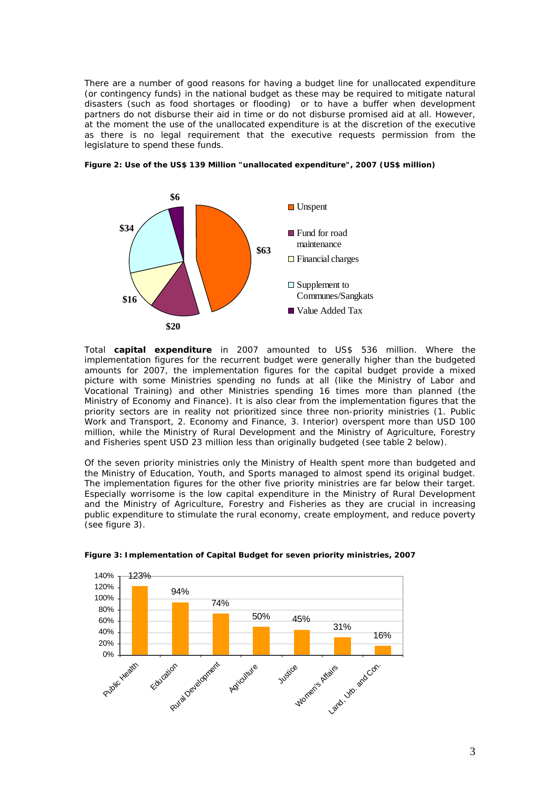There are a number of good reasons for having a budget line for unallocated expenditure (or contingency funds) in the national budget as these may be required to mitigate natural disasters (such as food shortages or flooding) or to have a buffer when development partners do not disburse their aid in time or do not disburse promised aid at all. However, at the moment the use of the unallocated expenditure is at the discretion of the executive as there is no legal requirement that the executive requests permission from the legislature to spend these funds.



*Figure 2: Use of the US\$ 139 Million "unallocated expenditure", 2007 (US\$ million)* 

Total *capital expenditure* in 2007 amounted to US\$ 536 million. Where the implementation figures for the recurrent budget were generally higher than the budgeted amounts for 2007, the implementation figures for the capital budget provide a mixed picture with some Ministries spending no funds at all (like the Ministry of Labor and Vocational Training) and other Ministries spending 16 times more than planned (the Ministry of Economy and Finance). It is also clear from the implementation figures that the priority sectors are in reality not prioritized since three non-priority ministries (1. Public Work and Transport, 2. Economy and Finance, 3. Interior) overspent more than USD 100 million, while the Ministry of Rural Development and the Ministry of Agriculture, Forestry and Fisheries spent USD 23 million less than originally budgeted (see table 2 below).

Of the seven priority ministries only the Ministry of Health spent more than budgeted and the Ministry of Education, Youth, and Sports managed to almost spend its original budget. The implementation figures for the other five priority ministries are far below their target. Especially worrisome is the low capital expenditure in the Ministry of Rural Development and the Ministry of Agriculture, Forestry and Fisheries as they are crucial in increasing public expenditure to stimulate the rural economy, create employment, and reduce poverty (see figure 3).



*Figure 3: Implementation of Capital Budget for seven priority ministries, 2007*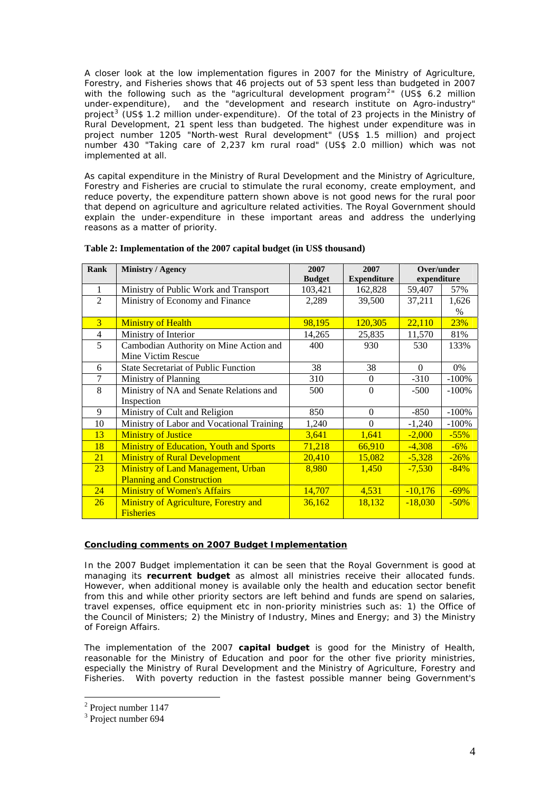A closer look at the low implementation figures in 2007 for the Ministry of Agriculture, Forestry, and Fisheries shows that 46 projects out of 53 spent less than budgeted in 2007 with the following such as the "agricultural development program<sup>[2](#page-4-0)</sup>" (US\$ 6.2 million under-expenditure), and the "development and research institute on Agro-industry" project<sup>[3](#page-4-1)</sup> (US\$ 1.2 million under-expenditure). Of the total of 23 projects in the Ministry of Rural Development, 21 spent less than budgeted. The highest under expenditure was in project number 1205 "North-west Rural development" (US\$ 1.5 million) and project number 430 "Taking care of 2,237 km rural road" (US\$ 2.0 million) which was not implemented at all.

As capital expenditure in the Ministry of Rural Development and the Ministry of Agriculture, Forestry and Fisheries are crucial to stimulate the rural economy, create employment, and reduce poverty, the expenditure pattern shown above is not good news for the rural poor that depend on agriculture and agriculture related activities. The Royal Government should explain the under-expenditure in these important areas and address the underlying reasons as a matter of priority.

| Rank           | <b>Ministry / Agency</b>                       | 2007          | 2007               | Over/under  |         |
|----------------|------------------------------------------------|---------------|--------------------|-------------|---------|
|                |                                                | <b>Budget</b> | <b>Expenditure</b> | expenditure |         |
| 1              | Ministry of Public Work and Transport          | 103,421       | 162,828            | 59,407      | 57%     |
| $\overline{2}$ | Ministry of Economy and Finance                | 2,289         | 39,500             | 37,211      | 1,626   |
|                |                                                |               |                    |             | $\%$    |
| $\overline{3}$ | <b>Ministry of Health</b>                      | 98,195        | 120,305            | 22,110      | 23%     |
| 4              | Ministry of Interior                           | 14,265        | 25,835             | 11,570      | 81%     |
| 5              | Cambodian Authority on Mine Action and         | 400           | 930                | 530         | 133%    |
|                | Mine Victim Rescue                             |               |                    |             |         |
| 6              | <b>State Secretariat of Public Function</b>    | 38            | 38                 | $\Omega$    | 0%      |
| 7              | Ministry of Planning                           | 310           | $\Omega$           | $-310$      | $-100%$ |
| 8              | Ministry of NA and Senate Relations and        | 500           | $\Omega$           | $-500$      | $-100%$ |
|                | Inspection                                     |               |                    |             |         |
| 9              | Ministry of Cult and Religion                  | 850           | $\Omega$           | $-850$      | $-100%$ |
| 10             | Ministry of Labor and Vocational Training      | 1,240         | $\Omega$           | $-1,240$    | $-100%$ |
| 13             | <b>Ministry of Justice</b>                     | 3,641         | 1,641              | $-2,000$    | $-55%$  |
| 18             | <b>Ministry of Education, Youth and Sports</b> | 71,218        | 66,910             | $-4,308$    | $-6%$   |
| 21             | <b>Ministry of Rural Development</b>           | 20,410        | 15,082             | $-5,328$    | $-26%$  |
| 23             | Ministry of Land Management, Urban             | 8,980         | 1,450              | $-7,530$    | $-84%$  |
|                | <b>Planning and Construction</b>               |               |                    |             |         |
| 24             | <b>Ministry of Women's Affairs</b>             | 14,707        | 4,531              | $-10,176$   | $-69%$  |
| <b>26</b>      | Ministry of Agriculture, Forestry and          | 36,162        | 18,132             | $-18,030$   | $-50%$  |
|                | <b>Fisheries</b>                               |               |                    |             |         |

#### **Table 2: Implementation of the 2007 capital budget (in US\$ thousand)**

#### **Concluding comments on 2007 Budget Implementation**

In the 2007 Budget implementation it can be seen that the Royal Government is good at managing its *recurrent budget* as almost all ministries receive their allocated funds. However, when additional money is available only the health and education sector benefit from this and while other priority sectors are left behind and funds are spend on salaries, travel expenses, office equipment etc in non-priority ministries such as: 1) the Office of the Council of Ministers; 2) the Ministry of Industry, Mines and Energy; and 3) the Ministry of Foreign Affairs.

The implementation of the 2007 *capital budget* is good for the Ministry of Health, reasonable for the Ministry of Education and poor for the other five priority ministries, especially the Ministry of Rural Development and the Ministry of Agriculture, Forestry and Fisheries. With poverty reduction in the fastest possible manner being Government's

 $\overline{a}$ 

<span id="page-4-0"></span><sup>&</sup>lt;sup>2</sup> Project number 1147

<span id="page-4-1"></span><sup>&</sup>lt;sup>3</sup> Project number 694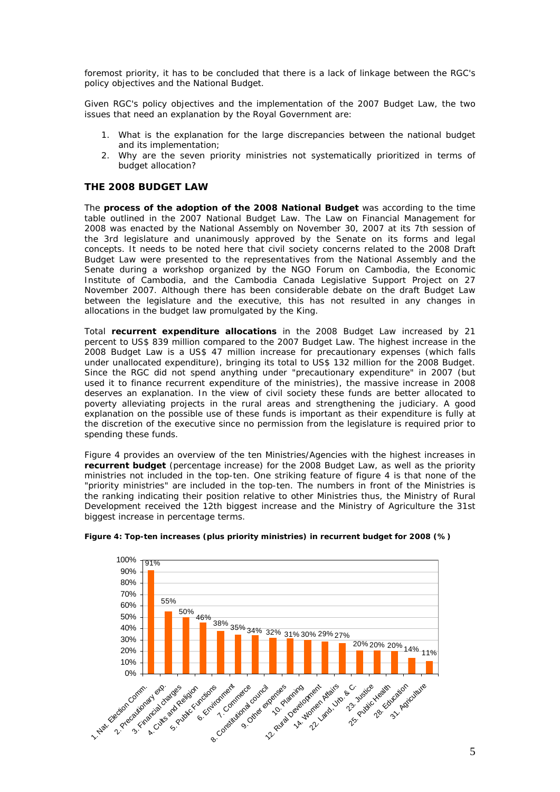foremost priority, it has to be concluded that there is a lack of linkage between the RGC's policy objectives and the National Budget.

Given RGC's policy objectives and the implementation of the 2007 Budget Law, the two issues that need an explanation by the Royal Government are:

- 1. What is the explanation for the large discrepancies between the national budget and its implementation;
- 2. Why are the seven priority ministries not systematically prioritized in terms of budget allocation?

#### **THE 2008 BUDGET LAW**

The *process of the adoption of the 2008 National Budget* was according to the time table outlined in the 2007 National Budget Law. The Law on Financial Management for 2008 was enacted by the National Assembly on November 30, 2007 at its 7th session of the 3rd legislature and unanimously approved by the Senate on its forms and legal concepts. It needs to be noted here that civil society concerns related to the 2008 Draft Budget Law were presented to the representatives from the National Assembly and the Senate during a workshop organized by the NGO Forum on Cambodia, the Economic Institute of Cambodia, and the Cambodia Canada Legislative Support Project on 27 November 2007. Although there has been considerable debate on the draft Budget Law between the legislature and the executive, this has not resulted in any changes in allocations in the budget law promulgated by the King.

Total *recurrent expenditure allocations* in the 2008 Budget Law increased by 21 percent to US\$ 839 million compared to the 2007 Budget Law. The highest increase in the 2008 Budget Law is a US\$ 47 million increase for precautionary expenses (which falls under unallocated expenditure), bringing its total to US\$ 132 million for the 2008 Budget. Since the RGC did not spend anything under "precautionary expenditure" in 2007 (but used it to finance recurrent expenditure of the ministries), the massive increase in 2008 deserves an explanation. In the view of civil society these funds are better allocated to poverty alleviating projects in the rural areas and strengthening the judiciary. A good explanation on the possible use of these funds is important as their expenditure is fully at the discretion of the executive since no permission from the legislature is required prior to spending these funds.

Figure 4 provides an overview of the ten Ministries/Agencies with the highest increases in *recurrent budget* (percentage increase) for the 2008 Budget Law, as well as the priority ministries not included in the top-ten. One striking feature of figure 4 is that none of the "priority ministries" are included in the top-ten. The numbers in front of the Ministries is the ranking indicating their position relative to other Ministries thus, the Ministry of Rural Development received the 12th biggest increase and the Ministry of Agriculture the 31st biggest increase in percentage terms.



*Figure 4: Top-ten increases (plus priority ministries) in recurrent budget for 2008 (%)*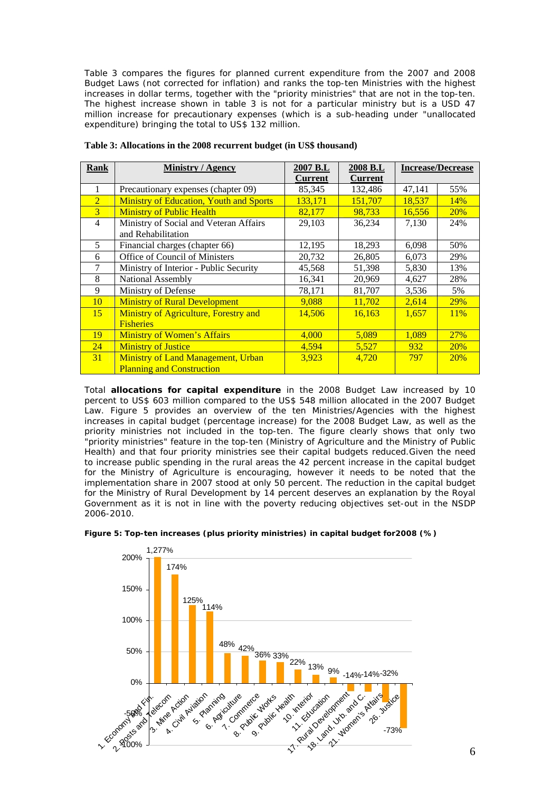Table 3 compares the figures for planned current expenditure from the 2007 and 2008 Budget Laws (not corrected for inflation) and ranks the top-ten Ministries with the highest increases in dollar terms, together with the "priority ministries" that are not in the top-ten. The highest increase shown in table 3 is not for a particular ministry but is a USD 47 million increase for precautionary expenses (which is a sub-heading under "unallocated expenditure) bringing the total to US\$ 132 million.

| Rank           | <b>Ministry / Agency</b>                       | 2007 B.L       | 2008 B.L       | <b>Increase/Decrease</b> |            |  |
|----------------|------------------------------------------------|----------------|----------------|--------------------------|------------|--|
|                |                                                | <b>Current</b> | <b>Current</b> |                          |            |  |
| 1              | Precautionary expenses (chapter 09)            | 85,345         | 132,486        | 47,141                   | 55%        |  |
| $\overline{2}$ | <b>Ministry of Education, Youth and Sports</b> | 133,171        | 151,707        | 18,537                   | 14%        |  |
| $\overline{3}$ | <b>Ministry of Public Health</b>               | 82,177         | 98,733         | 16,556                   | <b>20%</b> |  |
| $\overline{4}$ | Ministry of Social and Veteran Affairs         | 29,103         | 36,234         | 7,130                    | 24%        |  |
|                | and Rehabilitation                             |                |                |                          |            |  |
| 5              | Financial charges (chapter 66)                 | 12,195         | 18,293         | 6,098                    | 50%        |  |
| 6              | Office of Council of Ministers                 | 20,732         | 26,805         | 6,073                    | 29%        |  |
| 7              | Ministry of Interior - Public Security         | 45,568         | 51,398         | 5,830                    | 13%        |  |
| 8              | National Assembly                              | 16,341         | 20,969         | 4,627                    | 28%        |  |
| 9              | Ministry of Defense                            | 78,171         | 81,707         | 3,536                    | 5%         |  |
| 10             | <b>Ministry of Rural Development</b>           | 9,088          | 11,702         | 2,614                    | <b>29%</b> |  |
| 15             | Ministry of Agriculture, Forestry and          | 14,506         | 16,163         | 1,657                    | 11%        |  |
|                | <b>Fisheries</b>                               |                |                |                          |            |  |
| 19             | <b>Ministry of Women's Affairs</b>             | 4,000          | 5,089          | 1,089                    | 27%        |  |
| 24             | <b>Ministry of Justice</b>                     | 4,594          | 5,527          | 932                      | 20%        |  |
| 31             | <b>Ministry of Land Management, Urban</b>      | 3,923          | 4,720          | 797                      | <b>20%</b> |  |
|                | <b>Planning and Construction</b>               |                |                |                          |            |  |

| Table 3: Allocations in the 2008 recurrent budget (in US\$ thousand) |
|----------------------------------------------------------------------|
|----------------------------------------------------------------------|

Total *allocations for capital expenditure* in the 2008 Budget Law increased by 10 percent to US\$ 603 million compared to the US\$ 548 million allocated in the 2007 Budget Law. Figure 5 provides an overview of the ten Ministries/Agencies with the highest increases in capital budget (percentage increase) for the 2008 Budget Law, as well as the priority ministries not included in the top-ten. The figure clearly shows that only two "priority ministries" feature in the top-ten (Ministry of Agriculture and the Ministry of Public Health) and that four priority ministries see their capital budgets reduced.Given the need to increase public spending in the rural areas the 42 percent increase in the capital budget for the Ministry of Agriculture is encouraging, however it needs to be noted that the implementation share in 2007 stood at only 50 percent. The reduction in the capital budget for the Ministry of Rural Development by 14 percent deserves an explanation by the Royal Government as it is not in line with the poverty reducing objectives set-out in the NSDP 2006-2010.